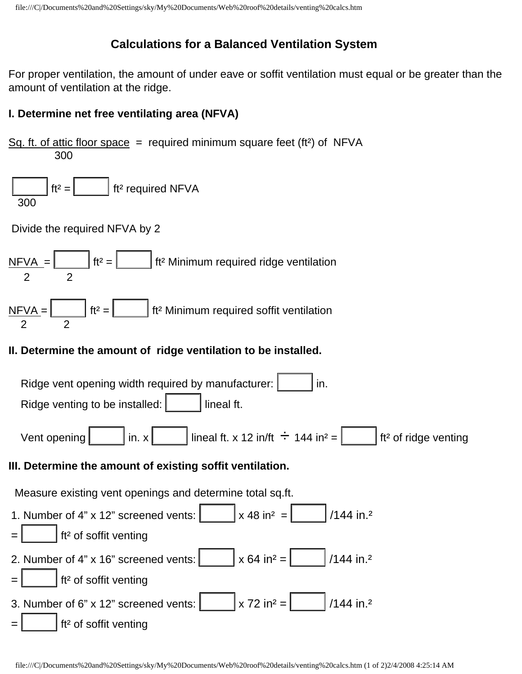## **Calculations for a Balanced Ventilation System**

For proper ventilation, the amount of under eave or soffit ventilation must equal or be greater than the amount of ventilation at the ridge.

## **I. Determine net free ventilating area (NFVA)**